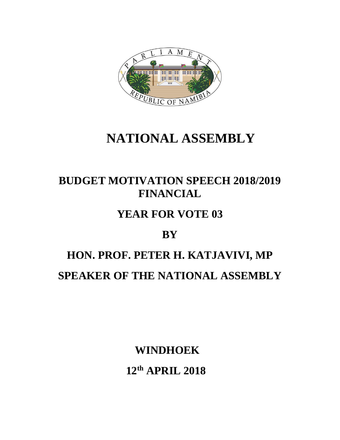

## **NATIONAL ASSEMBLY**

## **BUDGET MOTIVATION SPEECH 2018/2019 FINANCIAL**

### **YEAR FOR VOTE 03**

## **BY**

# **HON. PROF. PETER H. KATJAVIVI, MP SPEAKER OF THE NATIONAL ASSEMBLY**

 **WINDHOEK 12th APRIL 2018**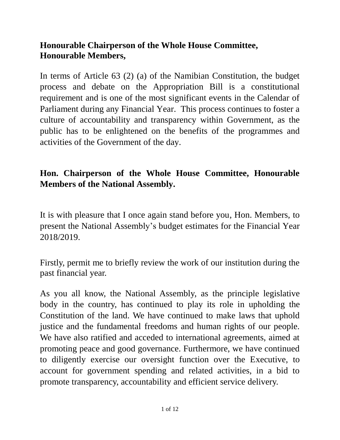#### **Honourable Chairperson of the Whole House Committee, Honourable Members,**

In terms of Article 63 (2) (a) of the Namibian Constitution, the budget process and debate on the Appropriation Bill is a constitutional requirement and is one of the most significant events in the Calendar of Parliament during any Financial Year. This process continues to foster a culture of accountability and transparency within Government, as the public has to be enlightened on the benefits of the programmes and activities of the Government of the day.

#### **Hon. Chairperson of the Whole House Committee, Honourable Members of the National Assembly.**

It is with pleasure that I once again stand before you, Hon. Members, to present the National Assembly's budget estimates for the Financial Year 2018/2019.

Firstly, permit me to briefly review the work of our institution during the past financial year.

As you all know, the National Assembly, as the principle legislative body in the country, has continued to play its role in upholding the Constitution of the land. We have continued to make laws that uphold justice and the fundamental freedoms and human rights of our people. We have also ratified and acceded to international agreements, aimed at promoting peace and good governance. Furthermore, we have continued to diligently exercise our oversight function over the Executive, to account for government spending and related activities, in a bid to promote transparency, accountability and efficient service delivery.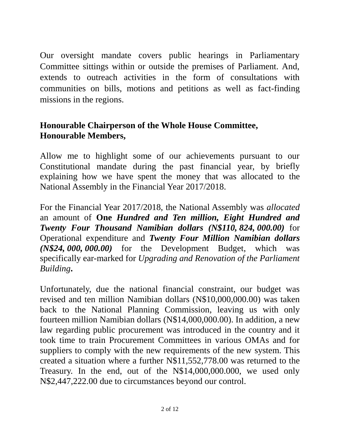Our oversight mandate covers public hearings in Parliamentary Committee sittings within or outside the premises of Parliament. And, extends to outreach activities in the form of consultations with communities on bills, motions and petitions as well as fact-finding missions in the regions.

#### **Honourable Chairperson of the Whole House Committee, Honourable Members,**

Allow me to highlight some of our achievements pursuant to our Constitutional mandate during the past financial year, by briefly explaining how we have spent the money that was allocated to the National Assembly in the Financial Year 2017/2018.

For the Financial Year 2017/2018, the National Assembly was *allocated* an amount of **One** *Hundred and Ten million, Eight Hundred and Twenty Four Thousand Namibian dollars (N\$110, 824, 000.00)* for Operational expenditure and *Twenty Four Million Namibian dollars (N\$24, 000, 000.00)* for the Development Budget, which was specifically ear-marked for *Upgrading and Renovation of the Parliament Building***.**

Unfortunately, due the national financial constraint, our budget was revised and ten million Namibian dollars (N\$10,000,000.00) was taken back to the National Planning Commission, leaving us with only fourteen million Namibian dollars (N\$14,000,000.00). In addition, a new law regarding public procurement was introduced in the country and it took time to train Procurement Committees in various OMAs and for suppliers to comply with the new requirements of the new system. This created a situation where a further N\$11,552,778.00 was returned to the Treasury. In the end, out of the N\$14,000,000.000, we used only N\$2,447,222.00 due to circumstances beyond our control.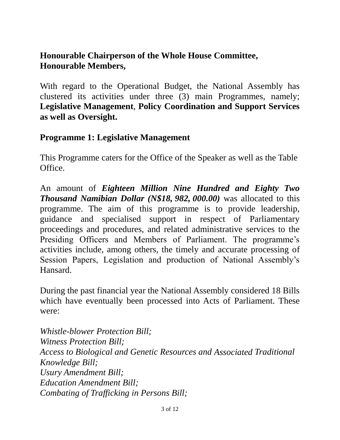#### **Honourable Chairperson of the Whole House Committee, Honourable Members,**

With regard to the Operational Budget, the National Assembly has clustered its activities under three (3) main Programmes, namely; **Legislative Management**, **Policy Coordination and Support Services as well as Oversight.**

#### **Programme 1: Legislative Management**

This Programme caters for the Office of the Speaker as well as the Table Office.

An amount of *Eighteen Million Nine Hundred and Eighty Two Thousand Namibian Dollar (N\$18, 982, 000.00)* was allocated to this programme. The aim of this programme is to provide leadership, guidance and specialised support in respect of Parliamentary proceedings and procedures, and related administrative services to the Presiding Officers and Members of Parliament. The programme's activities include, among others, the timely and accurate processing of Session Papers, Legislation and production of National Assembly's Hansard.

During the past financial year the National Assembly considered 18 Bills which have eventually been processed into Acts of Parliament. These were:

*Whistle-blower Protection Bill; Witness Protection Bill; Access to Biological and Genetic Resources and Associated Traditional Knowledge Bill; Usury Amendment Bill; Education Amendment Bill; Combating of Trafficking in Persons Bill;*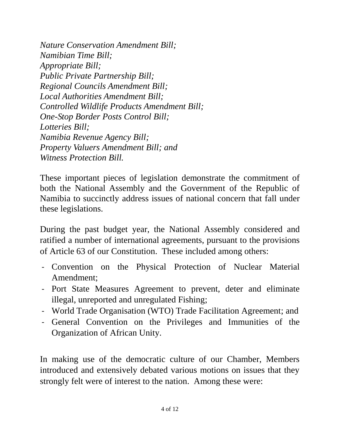*Nature Conservation Amendment Bill; Namibian Time Bill; Appropriate Bill; Public Private Partnership Bill; Regional Councils Amendment Bill; Local Authorities Amendment Bill; Controlled Wildlife Products Amendment Bill; One-Stop Border Posts Control Bill; Lotteries Bill; Namibia Revenue Agency Bill; Property Valuers Amendment Bill; and Witness Protection Bill.*

These important pieces of legislation demonstrate the commitment of both the National Assembly and the Government of the Republic of Namibia to succinctly address issues of national concern that fall under these legislations.

During the past budget year, the National Assembly considered and ratified a number of international agreements, pursuant to the provisions of Article 63 of our Constitution. These included among others:

- Convention on the Physical Protection of Nuclear Material Amendment;
- Port State Measures Agreement to prevent, deter and eliminate illegal, unreported and unregulated Fishing;
- World Trade Organisation (WTO) Trade Facilitation Agreement; and
- General Convention on the Privileges and Immunities of the Organization of African Unity.

In making use of the democratic culture of our Chamber, Members introduced and extensively debated various motions on issues that they strongly felt were of interest to the nation. Among these were: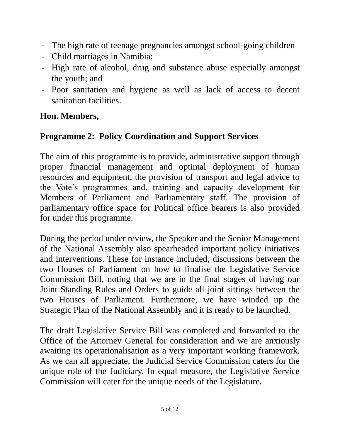- The high rate of teenage pregnancies amongst school-going children
- Child marriages in Namibia;
- High rate of alcohol, drug and substance abuse especially amongst the youth; and
- Poor sanitation and hygiene as well as lack of access to decent sanitation facilities.

#### **Hon. Members,**

#### **Programme 2: Policy Coordination and Support Services**

The aim of this programme is to provide, administrative support through proper financial management and optimal deployment of human resources and equipment, the provision of transport and legal advice to the Vote's programmes and, training and capacity development for Members of Parliament and Parliamentary staff. The provision of parliamentary office space for Political office bearers is also provided for under this programme.

During the period under review, the Speaker and the Senior Management of the National Assembly also spearheaded important policy initiatives and interventions. These for instance included, discussions between the two Houses of Parliament on how to finalise the Legislative Service Commission Bill, noting that we are in the final stages of having our Joint Standing Rules and Orders to guide all joint sittings between the two Houses of Parliament. Furthermore, we have winded up the Strategic Plan of the National Assembly and it is ready to be launched.

The draft Legislative Service Bill was completed and forwarded to the Office of the Attorney General for consideration and we are anxiously awaiting its operationalisation as a very important working framework. As we can all appreciate, the Judicial Service Commission caters for the unique role of the Judiciary. In equal measure, the Legislative Service Commission will cater for the unique needs of the Legislature.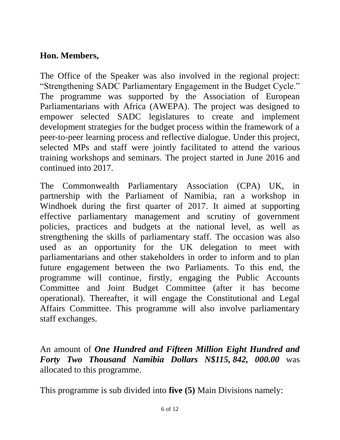#### **Hon. Members,**

The Office of the Speaker was also involved in the regional project: "Strengthening SADC Parliamentary Engagement in the Budget Cycle." The programme was supported by the Association of European Parliamentarians with Africa (AWEPA). The project was designed to empower selected SADC legislatures to create and implement development strategies for the budget process within the framework of a peer-to-peer learning process and reflective dialogue. Under this project, selected MPs and staff were jointly facilitated to attend the various training workshops and seminars. The project started in June 2016 and continued into 2017.

The Commonwealth Parliamentary Association (CPA) UK, in partnership with the Parliament of Namibia, ran a workshop in Windhoek during the first quarter of 2017. It aimed at supporting effective parliamentary management and scrutiny of government policies, practices and budgets at the national level, as well as strengthening the skills of parliamentary staff. The occasion was also used as an opportunity for the UK delegation to meet with parliamentarians and other stakeholders in order to inform and to plan future engagement between the two Parliaments. To this end, the programme will continue, firstly, engaging the Public Accounts Committee and Joint Budget Committee (after it has become operational). Thereafter, it will engage the Constitutional and Legal Affairs Committee. This programme will also involve parliamentary staff exchanges.

An amount of *One Hundred and Fifteen Million Eight Hundred and Forty Two Thousand Namibia Dollars N\$115, 842, 000.00* was allocated to this programme.

This programme is sub divided into **five (5)** Main Divisions namely: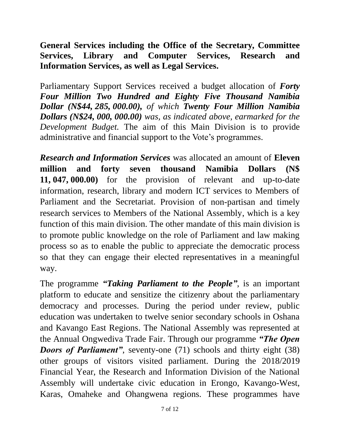**General Services including the Office of the Secretary, Committee Services, Library and Computer Services, Research and Information Services, as well as Legal Services.**

Parliamentary Support Services received a budget allocation of *Forty Four Million Two Hundred and Eighty Five Thousand Namibia Dollar (N\$44, 285, 000.00), of which Twenty Four Million Namibia Dollars (N\$24, 000, 000.00) was, as indicated above, earmarked for the Development Budget.* The aim of this Main Division is to provide administrative and financial support to the Vote's programmes.

*Research and Information Services* was allocated an amount of **Eleven million and forty seven thousand Namibia Dollars (N\$ 11, 047, 000.00)** for the provision of relevant and up-to-date information, research, library and modern ICT services to Members of Parliament and the Secretariat. Provision of non-partisan and timely research services to Members of the National Assembly, which is a key function of this main division. The other mandate of this main division is to promote public knowledge on the role of Parliament and law making process so as to enable the public to appreciate the democratic process so that they can engage their elected representatives in a meaningful way.

The programme *"Taking Parliament to the People"*, is an important platform to educate and sensitize the citizenry about the parliamentary democracy and processes. During the period under review, public education was undertaken to twelve senior secondary schools in Oshana and Kavango East Regions. The National Assembly was represented at the Annual Ongwediva Trade Fair. Through our programme *"The Open Doors of Parliament"*, seventy-one (71) schools and thirty eight (38) other groups of visitors visited parliament. During the 2018/2019 Financial Year, the Research and Information Division of the National Assembly will undertake civic education in Erongo, Kavango-West, Karas, Omaheke and Ohangwena regions. These programmes have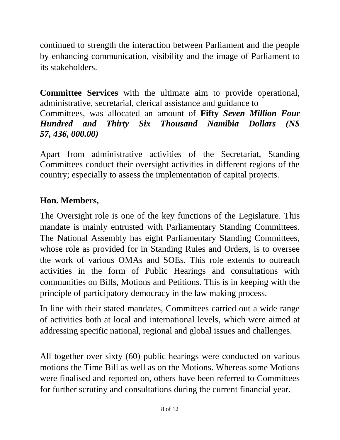continued to strength the interaction between Parliament and the people by enhancing communication, visibility and the image of Parliament to its stakeholders.

**Committee Services** with the ultimate aim to provide operational, administrative, secretarial, clerical assistance and guidance to Committees, was allocated an amount of **Fifty** *Seven Million Four Hundred and Thirty Six Thousand Namibia Dollars (N\$ 57, 436, 000.00)*

Apart from administrative activities of the Secretariat, Standing Committees conduct their oversight activities in different regions of the country; especially to assess the implementation of capital projects.

#### **Hon. Members,**

The Oversight role is one of the key functions of the Legislature. This mandate is mainly entrusted with Parliamentary Standing Committees. The National Assembly has eight Parliamentary Standing Committees, whose role as provided for in Standing Rules and Orders, is to oversee the work of various OMAs and SOEs. This role extends to outreach activities in the form of Public Hearings and consultations with communities on Bills, Motions and Petitions. This is in keeping with the principle of participatory democracy in the law making process.

In line with their stated mandates, Committees carried out a wide range of activities both at local and international levels, which were aimed at addressing specific national, regional and global issues and challenges.

All together over sixty (60) public hearings were conducted on various motions the Time Bill as well as on the Motions. Whereas some Motions were finalised and reported on, others have been referred to Committees for further scrutiny and consultations during the current financial year.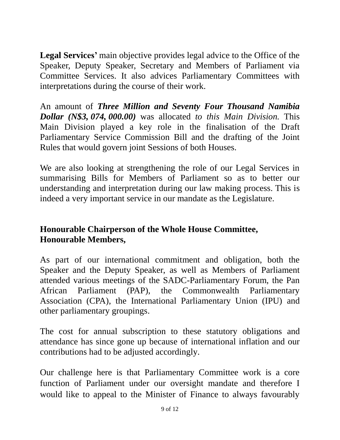**Legal Services'** main objective provides legal advice to the Office of the Speaker, Deputy Speaker, Secretary and Members of Parliament via Committee Services. It also advices Parliamentary Committees with interpretations during the course of their work.

An amount of *Three Million and Seventy Four Thousand Namibia Dollar (N\$3, 074, 000.00)* was allocated *to this Main Division.* This Main Division played a key role in the finalisation of the Draft Parliamentary Service Commission Bill and the drafting of the Joint Rules that would govern joint Sessions of both Houses.

We are also looking at strengthening the role of our Legal Services in summarising Bills for Members of Parliament so as to better our understanding and interpretation during our law making process. This is indeed a very important service in our mandate as the Legislature.

#### **Honourable Chairperson of the Whole House Committee, Honourable Members,**

As part of our international commitment and obligation, both the Speaker and the Deputy Speaker, as well as Members of Parliament attended various meetings of the SADC-Parliamentary Forum, the Pan African Parliament (PAP), the Commonwealth Parliamentary Association (CPA), the International Parliamentary Union (IPU) and other parliamentary groupings.

The cost for annual subscription to these statutory obligations and attendance has since gone up because of international inflation and our contributions had to be adjusted accordingly.

Our challenge here is that Parliamentary Committee work is a core function of Parliament under our oversight mandate and therefore I would like to appeal to the Minister of Finance to always favourably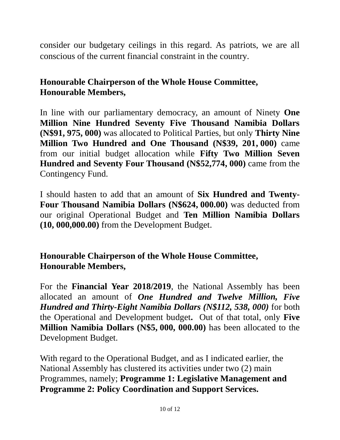consider our budgetary ceilings in this regard. As patriots, we are all conscious of the current financial constraint in the country.

#### **Honourable Chairperson of the Whole House Committee, Honourable Members,**

In line with our parliamentary democracy, an amount of Ninety **One Million Nine Hundred Seventy Five Thousand Namibia Dollars (N\$91, 975, 000)** was allocated to Political Parties, but only **Thirty Nine Million Two Hundred and One Thousand (N\$39, 201, 000)** came from our initial budget allocation while **Fifty Two Million Seven Hundred and Seventy Four Thousand (N\$52,774, 000)** came from the Contingency Fund.

I should hasten to add that an amount of **Six Hundred and Twenty-Four Thousand Namibia Dollars (N\$624, 000.00)** was deducted from our original Operational Budget and **Ten Million Namibia Dollars (10, 000,000.00)** from the Development Budget.

#### **Honourable Chairperson of the Whole House Committee, Honourable Members,**

For the **Financial Year 2018/2019**, the National Assembly has been allocated an amount of *One Hundred and Twelve Million, Five Hundred and Thirty-Eight Namibia Dollars (N\$112, 538, 000)* for both the Operational and Development budget**.** Out of that total, only **Five Million Namibia Dollars (N\$5, 000, 000.00)** has been allocated to the Development Budget.

With regard to the Operational Budget, and as I indicated earlier, the National Assembly has clustered its activities under two (2) main Programmes, namely; **Programme 1: Legislative Management and Programme 2: Policy Coordination and Support Services.**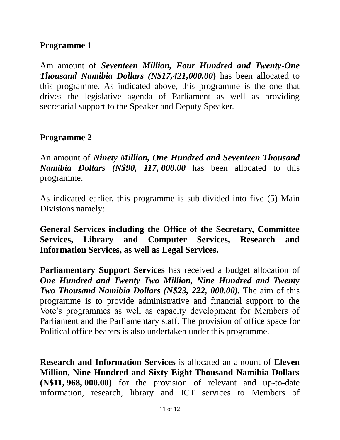#### **Programme 1**

Am amount of *Seventeen Million, Four Hundred and Twenty-One Thousand Namibia Dollars (N\$17,421,000.00***)** has been allocated to this programme. As indicated above, this programme is the one that drives the legislative agenda of Parliament as well as providing secretarial support to the Speaker and Deputy Speaker.

#### **Programme 2**

An amount of *Ninety Million, One Hundred and Seventeen Thousand Namibia Dollars (N\$90, 117, 000.00* has been allocated to this programme.

As indicated earlier, this programme is sub-divided into five (5) Main Divisions namely:

**General Services including the Office of the Secretary, Committee Services, Library and Computer Services, Research and Information Services, as well as Legal Services.**

**Parliamentary Support Services** has received a budget allocation of *One Hundred and Twenty Two Million, Nine Hundred and Twenty Two Thousand Namibia Dollars (N\$23, 222, 000.00).* The aim of this programme is to provide administrative and financial support to the Vote's programmes as well as capacity development for Members of Parliament and the Parliamentary staff. The provision of office space for Political office bearers is also undertaken under this programme.

**Research and Information Services** is allocated an amount of **Eleven Million, Nine Hundred and Sixty Eight Thousand Namibia Dollars (N\$11, 968, 000.00)** for the provision of relevant and up-to-date information, research, library and ICT services to Members of